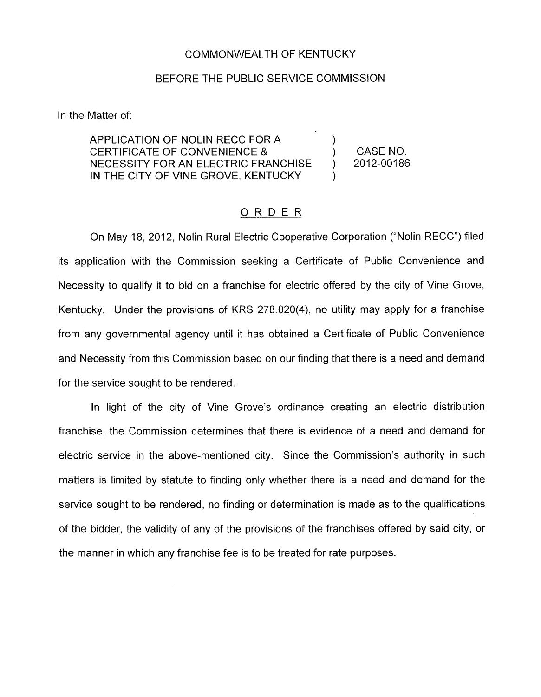## COMMONWEALTH OF KENTUCKY

## BEFORE THE PUBLIC SERVICE COMMISSION

In the Matter of:

APPLICATION OF NOLIN RECC FOR A CERTIFICATE OF CONVENIENCE &  $\qquad \qquad$  CASE NO. NECESSITY FOR AN ELECTRIC FRANCHISE ) 2012-00186 IN THE CITY OF VINE GROVE, KENTUCKY

 $\lambda$ 

)

## ORDER

On May 18, 2012, Nolin Rural Electric Cooperative Corporation ("Nolin RECC") filed its application with the Commission seeking a Certificate of Public Convenience and Necessity to qualify it to bid on a franchise for electric offered by the city of Vine Grove, Kentucky. Under the provisions of KRS 278.020(4), no utility may apply for a franchise from any governmental agency until it has obtained a Certificate of Public Convenience and Necessity from this Commission based on our finding that there is a need and demand for the service sought to be rendered.

In light of the city of Vine Grove's ordinance creating an electric distribution franchise, the Commission determines that there is evidence of a need and demand for electric service in the above-mentioned city. Since the Commission's authority in such matters is limited by statute to finding only whether there is a need and demand for the service sought to be rendered, no finding or determination is made as to the qualifications of the bidder, the validity of any of the provisions of the franchises offered by said city, or the manner in which any franchise fee is to be treated for rate purposes.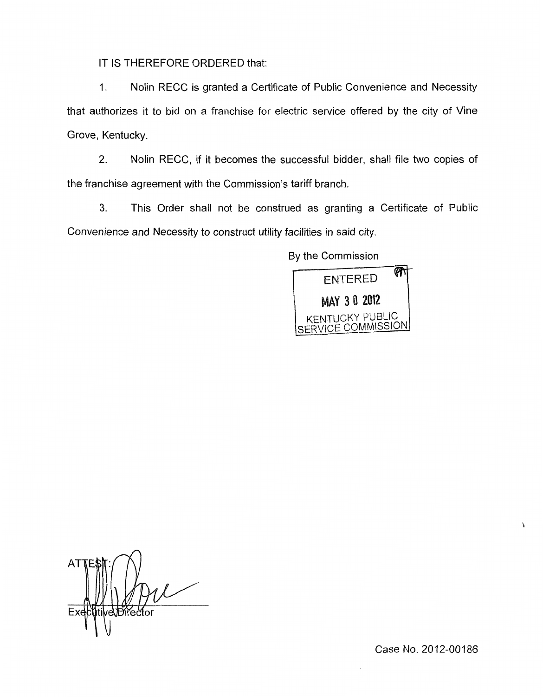IT IS THEREFORE ORDERED that:

1. Nolin RECC is granted a Certificate of Public Convenience and Necessity that authorizes it to bid on a franchise for electric service offered by the city of Vine Grove, Kentucky.

2. Nolin RECC, if it becomes the successful bidder, shall file two copies of the franchise agreement with the Commission's tariff branch.

**3.** This Order shall not be construed as granting a Certificate of Public Convenience and Necessity to construct utility facilities in said city.

By the Commission



tive\Director

Case No. 2012-00186